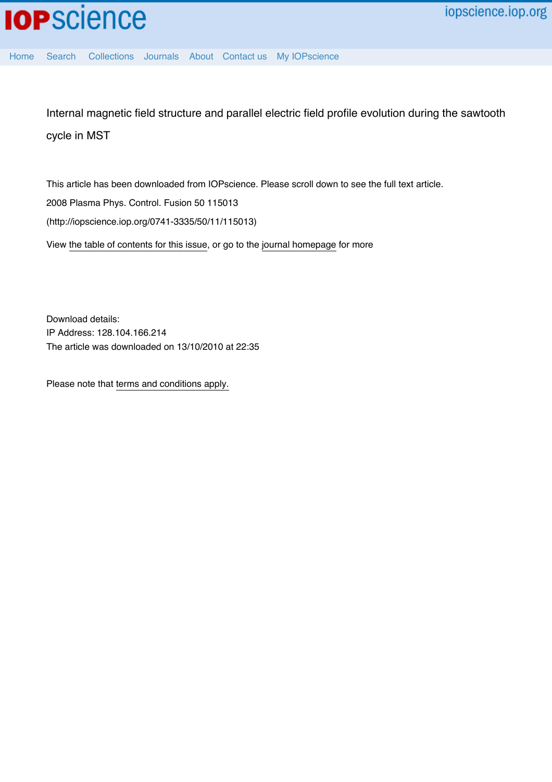[Home](http://iopscience.iop.org/) [Search](http://iopscience.iop.org/search) [Collections](http://iopscience.iop.org/collections) [Journals](http://iopscience.iop.org/journals) [About](http://iopscience.iop.org/page/aboutioppublishing) [Contact us](http://iopscience.iop.org/contact) [My IOPscience](http://iopscience.iop.org/myiopscience)

Internal magnetic field structure and parallel electric field profile evolution during the sawtooth cycle in MST

This article has been downloaded from IOPscience. Please scroll down to see the full text article. 2008 Plasma Phys. Control. Fusion 50 115013 (http://iopscience.iop.org/0741-3335/50/11/115013) View [the table of contents for this issue](http://iopscience.iop.org/0741-3335/50/11), or go to the [journal homepage](http://iopscience.iop.org/0741-3335) for more

Download details: IP Address: 128.104.166.214 The article was downloaded on 13/10/2010 at 22:35

Please note that [terms and conditions apply.](http://iopscience.iop.org/page/terms)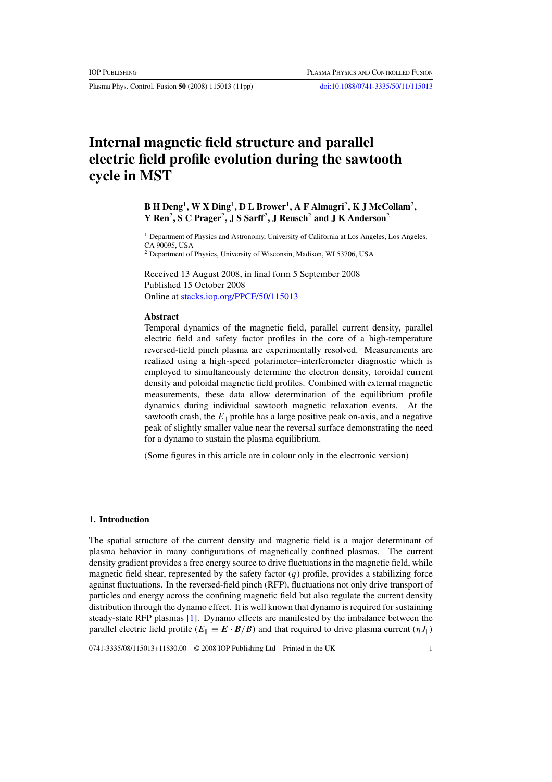Plasma Phys. Control. Fusion **50** (2008) 115013 (11pp) [doi:10.1088/0741-3335/50/11/115013](http://dx.doi.org/10.1088/0741-3335/50/11/115013)

# **Internal magnetic field structure and parallel electric field profile evolution during the sawtooth cycle in MST**

# **B H Deng**<sup>1</sup>**, W X Ding**<sup>1</sup>**, D L Brower**<sup>1</sup>**, A F Almagri**<sup>2</sup>**, K J McCollam**<sup>2</sup>**, Y Ren**<sup>2</sup>**, S C Prager**<sup>2</sup>**, J S Sarff**<sup>2</sup>**, J Reusch**<sup>2</sup> **and J K Anderson**<sup>2</sup>

<sup>1</sup> Department of Physics and Astronomy, University of California at Los Angeles, Los Angeles, CA 90095, USA

<sup>2</sup> Department of Physics, University of Wisconsin, Madison, WI 53706, USA

Received 13 August 2008, in final form 5 September 2008 Published 15 October 2008 Online at [stacks.iop.org/PPCF/50/115013](http://stacks.iop.org/PPCF/50/115013)

# **Abstract**

Temporal dynamics of the magnetic field, parallel current density, parallel electric field and safety factor profiles in the core of a high-temperature reversed-field pinch plasma are experimentally resolved. Measurements are realized using a high-speed polarimeter–interferometer diagnostic which is employed to simultaneously determine the electron density, toroidal current density and poloidal magnetic field profiles. Combined with external magnetic measurements, these data allow determination of the equilibrium profile dynamics during individual sawtooth magnetic relaxation events. At the sawtooth crash, the  $E_{\parallel}$  profile has a large positive peak on-axis, and a negative peak of slightly smaller value near the reversal surface demonstrating the need for a dynamo to sustain the plasma equilibrium.

(Some figures in this article are in colour only in the electronic version)

# **1. Introduction**

The spatial structure of the current density and magnetic field is a major determinant of plasma behavior in many configurations of magnetically confined plasmas. The current density gradient provides a free energy source to drive fluctuations in the magnetic field, while magnetic field shear, represented by the safety factor  $(q)$  profile, provides a stabilizing force against fluctuations. In the reversed-field pinch (RFP), fluctuations not only drive transport of particles and energy across the confining magnetic field but also regulate the current density distribution through the dynamo effect. It is well known that dynamo is required for sustaining steady-state RFP plasmas [\[1\]](#page-11-0). Dynamo effects are manifested by the imbalance between the parallel electric field profile ( $E_{\parallel} \equiv \mathbf{E} \cdot \mathbf{B}/B$ ) and that required to drive plasma current ( $\eta J_{\parallel}$ )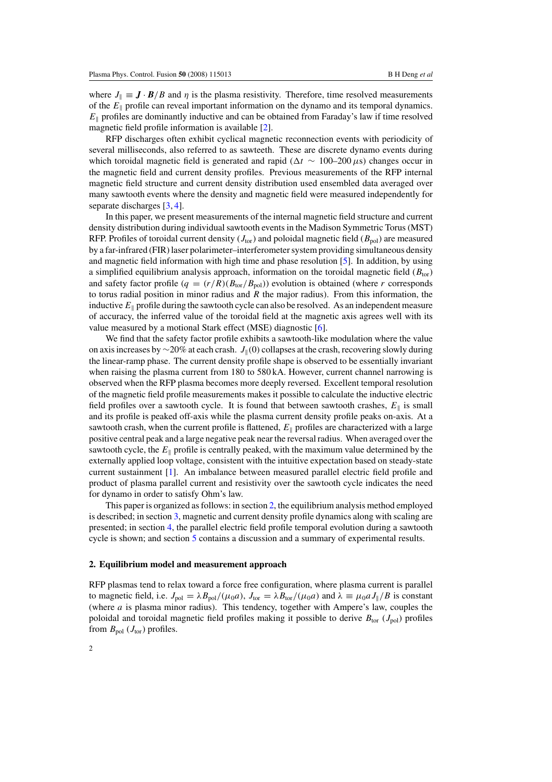where  $J_{\parallel} \equiv \mathbf{J} \cdot \mathbf{B}/B$  and  $\eta$  is the plasma resistivity. Therefore, time resolved measurements of the  $E_{\parallel}$  profile can reveal important information on the dynamo and its temporal dynamics.  $E_{\parallel}$  profiles are dominantly inductive and can be obtained from Faraday's law if time resolved magnetic field profile information is available [\[2\]](#page-11-1).

RFP discharges often exhibit cyclical magnetic reconnection events with periodicity of several milliseconds, also referred to as sawteeth. These are discrete dynamo events during which toroidal magnetic field is generated and rapid ( $\Delta t \sim 100-200 \,\mu s$ ) changes occur in the magnetic field and current density profiles. Previous measurements of the RFP internal magnetic field structure and current density distribution used ensembled data averaged over many sawtooth events where the density and magnetic field were measured independently for separate discharges [\[3,](#page-11-2) [4\]](#page-11-3).

In this paper, we present measurements of the internal magnetic field structure and current density distribution during individual sawtooth events in the Madison Symmetric Torus (MST) RFP. Profiles of toroidal current density  $(J_{\text{tor}})$  and poloidal magnetic field  $(B_{\text{pol}})$  are measured by a far-infrared (FIR) laser polarimeter–interferometer system providing simultaneous density and magnetic field information with high time and phase resolution [\[5\]](#page-11-4). In addition, by using a simplified equilibrium analysis approach, information on the toroidal magnetic field  $(B_{\text{tor}})$ and safety factor profile  $(q = (r/R)(B_{\text{tor}}/B_{\text{pol}}))$  evolution is obtained (where r corresponds to torus radial position in minor radius and  $R$  the major radius). From this information, the inductive  $E_{\parallel}$  profile during the sawtooth cycle can also be resolved. As an independent measure of accuracy, the inferred value of the toroidal field at the magnetic axis agrees well with its value measured by a motional Stark effect (MSE) diagnostic [\[6\]](#page-11-5).

We find that the safety factor profile exhibits a sawtooth-like modulation where the value on axis increases by ∼20% at each crash.  $J_{\parallel}(0)$  collapses at the crash, recovering slowly during the linear-ramp phase. The current density profile shape is observed to be essentially invariant when raising the plasma current from 180 to 580 kA. However, current channel narrowing is observed when the RFP plasma becomes more deeply reversed. Excellent temporal resolution of the magnetic field profile measurements makes it possible to calculate the inductive electric field profiles over a sawtooth cycle. It is found that between sawtooth crashes,  $E_{\parallel}$  is small and its profile is peaked off-axis while the plasma current density profile peaks on-axis. At a sawtooth crash, when the current profile is flattened,  $E_{\parallel}$  profiles are characterized with a large positive central peak and a large negative peak near the reversal radius. When averaged over the sawtooth cycle, the  $E_{\parallel}$  profile is centrally peaked, with the maximum value determined by the externally applied loop voltage, consistent with the intuitive expectation based on steady-state current sustainment [\[1\]](#page-11-0). An imbalance between measured parallel electric field profile and product of plasma parallel current and resistivity over the sawtooth cycle indicates the need for dynamo in order to satisfy Ohm's law.

<span id="page-2-0"></span>This paper is organized as follows: in section [2,](#page-2-0) the equilibrium analysis method employed is described; in section [3,](#page-4-0) magnetic and current density profile dynamics along with scaling are presented; in section [4,](#page-7-0) the parallel electric field profile temporal evolution during a sawtooth cycle is shown; and section [5](#page-10-0) contains a discussion and a summary of experimental results.

#### **2. Equilibrium model and measurement approach**

RFP plasmas tend to relax toward a force free configuration, where plasma current is parallel to magnetic field, i.e.  $J_{pol} = \lambda B_{pol}/(\mu_0 a)$ ,  $J_{tor} = \lambda B_{tor}/(\mu_0 a)$  and  $\lambda \equiv \mu_0 a J_{\parallel}/B$  is constant (where a is plasma minor radius). This tendency, together with Ampere's law, couples the poloidal and toroidal magnetic field profiles making it possible to derive  $B_{\text{tor}}(J_{\text{pol}})$  profiles from  $B_{pol}$  ( $J_{tor}$ ) profiles.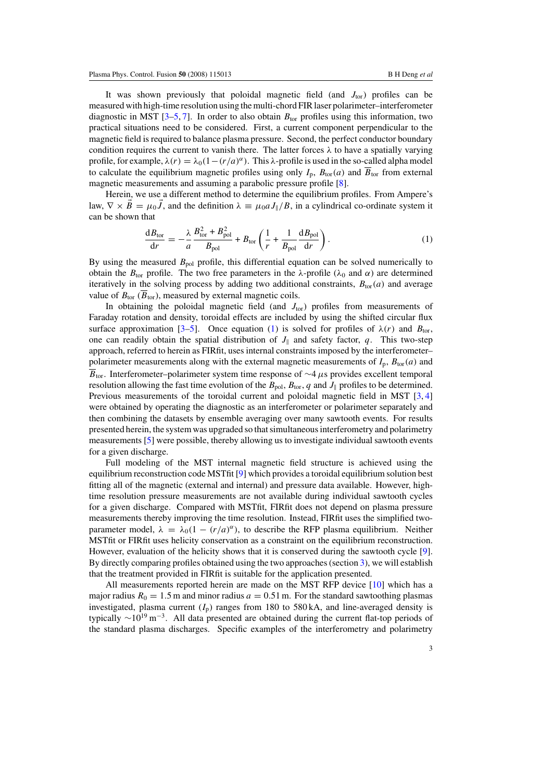It was shown previously that poloidal magnetic field (and  $J_{\text{tor}}$ ) profiles can be measured with high-time resolution using the multi-chord FIR laser polarimeter–interferometer diagnostic in MST [\[3](#page-11-2)-5, [7\]](#page-11-6). In order to also obtain  $B_{\text{tor}}$  profiles using this information, two practical situations need to be considered. First, a current component perpendicular to the magnetic field is required to balance plasma pressure. Second, the perfect conductor boundary condition requires the current to vanish there. The latter forces  $\lambda$  to have a spatially varying profile, for example,  $\lambda(r) = \lambda_0(1-(r/a)^{\alpha})$ . This  $\lambda$ -profile is used in the so-called alpha model to calculate the equilibrium magnetic profiles using only  $I_p$ ,  $B_{tor}(a)$  and  $B_{tor}$  from external magnetic measurements and assuming a parabolic pressure profile [\[8\]](#page-11-7).

<span id="page-3-0"></span>Herein, we use a different method to determine the equilibrium profiles. From Ampere's law,  $\nabla \times \vec{B} = \mu_0 \vec{J}$ , and the definition  $\lambda = \mu_0 a J_{\parallel}/B$ , in a cylindrical co-ordinate system it can be shown that

$$
\frac{dB_{\text{tor}}}{dr} = -\frac{\lambda}{a} \frac{B_{\text{tor}}^2 + B_{\text{pol}}^2}{B_{\text{pol}}} + B_{\text{tor}} \left( \frac{1}{r} + \frac{1}{B_{\text{pol}}} \frac{dB_{\text{pol}}}{dr} \right). \tag{1}
$$

By using the measured  $B_{pol}$  profile, this differential equation can be solved numerically to obtain the  $B_{\text{tor}}$  profile. The two free parameters in the  $\lambda$ -profile ( $\lambda_0$  and  $\alpha$ ) are determined iteratively in the solving process by adding two additional constraints,  $B_{\text{tor}}(a)$  and average value of  $B_{\text{tor}}(\overline{B}_{\text{tor}})$ , measured by external magnetic coils.

In obtaining the poloidal magnetic field (and  $J_{\text{tor}}$ ) profiles from measurements of Faraday rotation and density, toroidal effects are included by using the shifted circular flux surface approximation [3-[5\]](#page-11-4). Once equation [\(1\)](#page-3-0) is solved for profiles of  $\lambda(r)$  and  $B_{\text{tor}}$ , one can readily obtain the spatial distribution of  $J_{\parallel}$  and safety factor, q. This two-step approach, referred to herein as FIRfit, uses internal constraints imposed by the interferometer– polarimeter measurements along with the external magnetic measurements of  $I_p$ ,  $B_{\text{tor}}(a)$  and  $\overline{B}_{\text{tor}}$ . Interferometer–polarimeter system time response of  $\sim$ 4 µs provides excellent temporal resolution allowing the fast time evolution of the  $B_{pol}$ ,  $B_{tor}$ , q and  $J_{\parallel}$  profiles to be determined. Previous measurements of the toroidal current and poloidal magnetic field in MST [\[3,](#page-11-2) [4\]](#page-11-3) were obtained by operating the diagnostic as an interferometer or polarimeter separately and then combining the datasets by ensemble averaging over many sawtooth events. For results presented herein, the system was upgraded so that simultaneous interferometry and polarimetry measurements [\[5\]](#page-11-4) were possible, thereby allowing us to investigate individual sawtooth events for a given discharge.

Full modeling of the MST internal magnetic field structure is achieved using the equilibrium reconstruction code MSTfit [\[9\]](#page-11-8) which provides a toroidal equilibrium solution best fitting all of the magnetic (external and internal) and pressure data available. However, hightime resolution pressure measurements are not available during individual sawtooth cycles for a given discharge. Compared with MSTfit, FIRfit does not depend on plasma pressure measurements thereby improving the time resolution. Instead, FIRfit uses the simplified twoparameter model,  $\lambda = \lambda_0(1 - (r/a)^{\alpha})$ , to describe the RFP plasma equilibrium. Neither MSTfit or FIRfit uses helicity conservation as a constraint on the equilibrium reconstruction. However, evaluation of the helicity shows that it is conserved during the sawtooth cycle [\[9\]](#page-11-8). By directly comparing profiles obtained using the two approaches (section [3\)](#page-4-0), we will establish that the treatment provided in FIRfit is suitable for the application presented.

All measurements reported herein are made on the MST RFP device [\[10\]](#page-11-9) which has a major radius  $R_0 = 1.5$  m and minor radius  $a = 0.51$  m. For the standard sawtoothing plasmas investigated, plasma current  $(I<sub>p</sub>)$  ranges from 180 to 580 kA, and line-averaged density is typically  $\sim 10^{19}$  m<sup>-3</sup>. All data presented are obtained during the current flat-top periods of the standard plasma discharges. Specific examples of the interferometry and polarimetry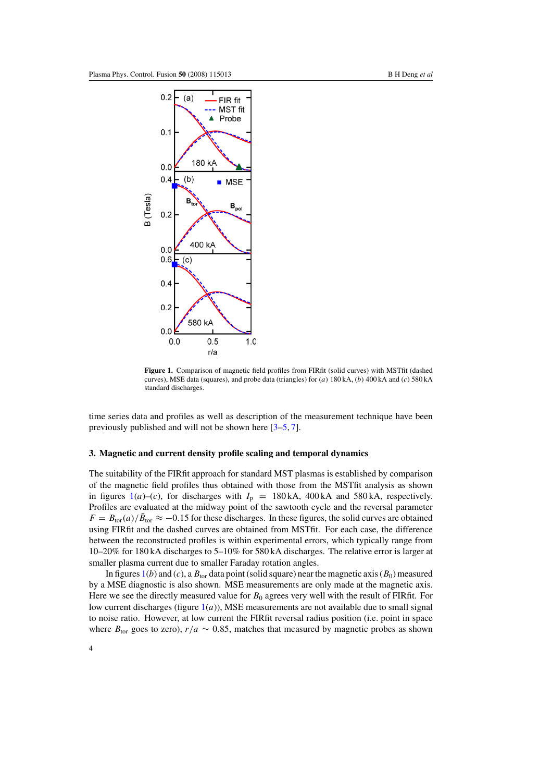<span id="page-4-1"></span>

Figure 1. Comparison of magnetic field profiles from FIRfit (solid curves) with MSTfit (dashed curves), MSE data (squares), and probe data (triangles) for  $(a) 180kA$ ,  $(b) 400kA$  and  $(c) 580kA$ standard discharges.

<span id="page-4-0"></span>time series data and profiles as well as description of the measurement technique have been previously published and will not be shown here [\[3–](#page-11-2)[5,](#page-11-4) [7\]](#page-11-6).

## **3. Magnetic and current density profile scaling and temporal dynamics**

The suitability of the FIRfit approach for standard MST plasmas is established by comparison of the magnetic field profiles thus obtained with those from the MSTfit analysis as shown in figures [1\(](#page-4-1)a)–(c), for discharges with  $I_p = 180$  kA, 400 kA and 580 kA, respectively. Profiles are evaluated at the midway point of the sawtooth cycle and the reversal parameter  $F = B_{\text{tor}}(a)/\bar{B}_{\text{tor}} \approx -0.15$  for these discharges. In these figures, the solid curves are obtained using FIRfit and the dashed curves are obtained from MSTfit. For each case, the difference between the reconstructed profiles is within experimental errors, which typically range from 10–20% for 180 kA discharges to 5–10% for 580 kA discharges. The relative error is larger at smaller plasma current due to smaller Faraday rotation angles.

In figures [1\(](#page-4-1)b) and (c), a  $B_{\text{tor}}$  data point (solid square) near the magnetic axis ( $B_0$ ) measured by a MSE diagnostic is also shown. MSE measurements are only made at the magnetic axis. Here we see the directly measured value for  $B_0$  agrees very well with the result of FIRfit. For low current discharges (figure  $1(a)$  $1(a)$ ), MSE measurements are not available due to small signal to noise ratio. However, at low current the FIRfit reversal radius position (i.e. point in space where  $B_{\text{tor}}$  goes to zero),  $r/a \sim 0.85$ , matches that measured by magnetic probes as shown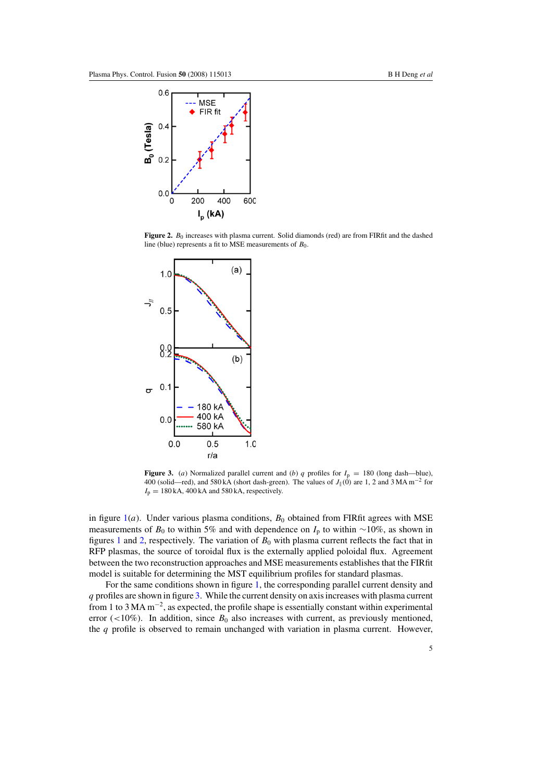<span id="page-5-0"></span>

Figure 2.  $B_0$  increases with plasma current. Solid diamonds (red) are from FIRfit and the dashed line (blue) represents a fit to MSE measurements of  $B_0$ .

<span id="page-5-1"></span>

**Figure 3.** (a) Normalized parallel current and (b) q profiles for  $I_p = 180$  (long dash—blue), 400 (solid—red), and 580 kA (short dash-green). The values of  $J_{\parallel}(0)$  are 1, 2 and 3 MA m<sup>-2</sup> for  $I_p = 180$  kA, 400 kA and 580 kA, respectively.

in figure  $1(a)$  $1(a)$ . Under various plasma conditions,  $B_0$  obtained from FIRfit agrees with MSE measurements of  $B_0$  to within 5% and with dependence on  $I_p$  to within ∼10%, as shown in figures [1](#page-4-1) and [2,](#page-5-0) respectively. The variation of  $B_0$  with plasma current reflects the fact that in RFP plasmas, the source of toroidal flux is the externally applied poloidal flux. Agreement between the two reconstruction approaches and MSE measurements establishes that the FIRfit model is suitable for determining the MST equilibrium profiles for standard plasmas.

For the same conditions shown in figure [1,](#page-4-1) the corresponding parallel current density and q profiles are shown in figure [3.](#page-5-1) While the current density on axis increases with plasma current from 1 to 3 MA m−2, as expected, the profile shape is essentially constant within experimental error (<10%). In addition, since  $B_0$  also increases with current, as previously mentioned, the  $q$  profile is observed to remain unchanged with variation in plasma current. However,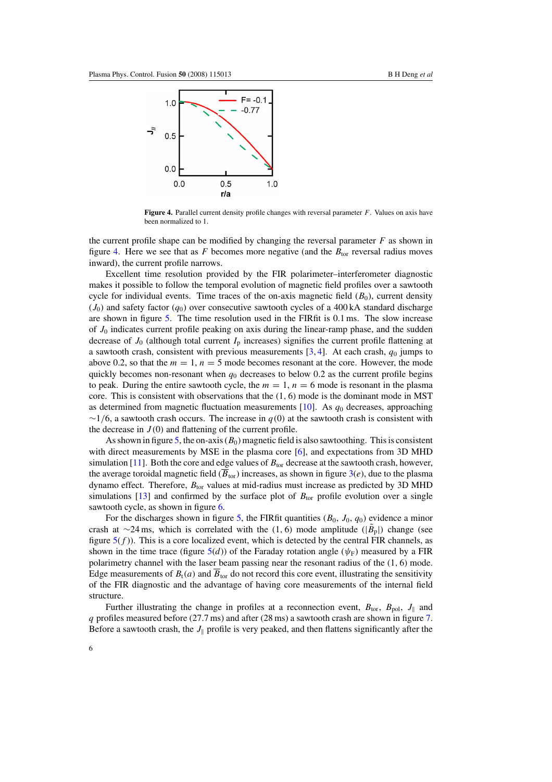<span id="page-6-0"></span>

**Figure 4.** Parallel current density profile changes with reversal parameter F. Values on axis have been normalized to 1.

the current profile shape can be modified by changing the reversal parameter  $F$  as shown in figure [4.](#page-6-0) Here we see that as F becomes more negative (and the  $B_{\text{tor}}$  reversal radius moves inward), the current profile narrows.

Excellent time resolution provided by the FIR polarimeter–interferometer diagnostic makes it possible to follow the temporal evolution of magnetic field profiles over a sawtooth cycle for individual events. Time traces of the on-axis magnetic field  $(B_0)$ , current density  $(J_0)$  and safety factor  $(q_0)$  over consecutive sawtooth cycles of a 400 kA standard discharge are shown in figure [5.](#page-7-1) The time resolution used in the FIRfit is 0.1 ms. The slow increase of  $J_0$  indicates current profile peaking on axis during the linear-ramp phase, and the sudden decrease of  $J_0$  (although total current  $I_p$  increases) signifies the current profile flattening at a sawtooth crash, consistent with previous measurements  $[3, 4]$  $[3, 4]$  $[3, 4]$ . At each crash,  $q_0$  jumps to above 0.2, so that the  $m = 1$ ,  $n = 5$  mode becomes resonant at the core. However, the mode quickly becomes non-resonant when  $q_0$  decreases to below 0.2 as the current profile begins to peak. During the entire sawtooth cycle, the  $m = 1$ ,  $n = 6$  mode is resonant in the plasma core. This is consistent with observations that the  $(1, 6)$  mode is the dominant mode in MST as determined from magnetic fluctuation measurements  $[10]$ . As  $q_0$  decreases, approaching  $\sim$ 1/6, a sawtooth crash occurs. The increase in q(0) at the sawtooth crash is consistent with the decrease in  $J(0)$  and flattening of the current profile.

As shown in figure [5,](#page-7-1) the on-axis  $(B_0)$  magnetic field is also sawtoothing. This is consistent with direct measurements by MSE in the plasma core [\[6\]](#page-11-5), and expectations from 3D MHD simulation [\[11\]](#page-11-10). Both the core and edge values of  $B_{\text{tor}}$  decrease at the sawtooth crash, however, the average toroidal magnetic field  $(\overline{B}_{\text{tor}})$  increases, as shown in figure [3\(](#page-5-1)e), due to the plasma dynamo effect. Therefore,  $B_{\text{tor}}$  values at mid-radius must increase as predicted by 3D MHD simulations [\[13\]](#page-11-11) and confirmed by the surface plot of  $B_{\text{tor}}$  profile evolution over a single sawtooth cycle, as shown in figure [6.](#page-8-0)

For the discharges shown in figure [5,](#page-7-1) the FIRfit quantities  $(B_0, J_0, q_0)$  evidence a minor crash at ∼24 ms, which is correlated with the (1, 6) mode amplitude ( $|\tilde{B}_p|$ ) change (see figure  $5(f)$  $5(f)$ ). This is a core localized event, which is detected by the central FIR channels, as shown in the time trace (figure  $5(d)$  $5(d)$ ) of the Faraday rotation angle ( $\psi_F$ ) measured by a FIR polarimetry channel with the laser beam passing near the resonant radius of the (1, 6) mode. Edge measurements of  $B_t(a)$  and  $\overline{B}_{\text{tor}}$  do not record this core event, illustrating the sensitivity of the FIR diagnostic and the advantage of having core measurements of the internal field structure.

Further illustrating the change in profiles at a reconnection event,  $B_{\text{tor}}$ ,  $B_{\text{pol}}$ ,  $J_{\parallel}$  and q profiles measured before (27.7 ms) and after (28 ms) a sawtooth crash are shown in figure [7.](#page-8-1) Before a sawtooth crash, the  $J_{\parallel}$  profile is very peaked, and then flattens significantly after the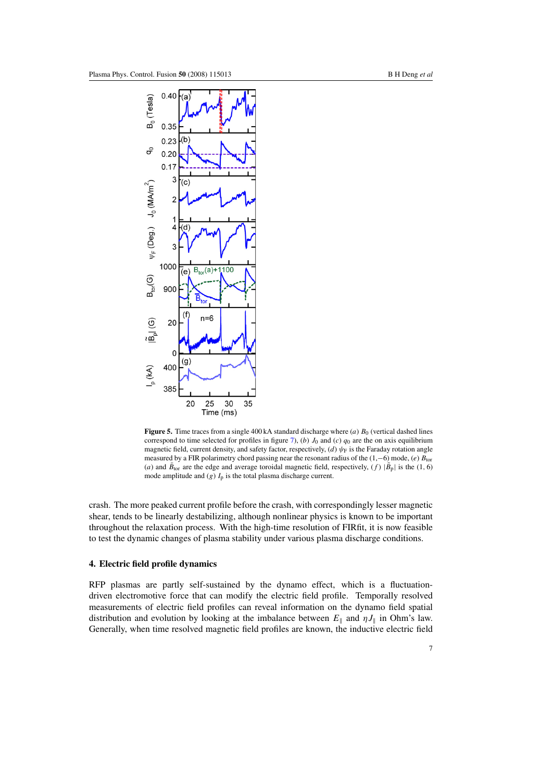<span id="page-7-1"></span>

**Figure 5.** Time traces from a single 400 kA standard discharge where  $(a)$   $B_0$  (vertical dashed lines correspond to time selected for profiles in figure [7\)](#page-8-1), (b)  $J_0$  and (c)  $q_0$  are the on axis equilibrium magnetic field, current density, and safety factor, respectively, (d)  $\psi_F$  is the Faraday rotation angle measured by a FIR polarimetry chord passing near the resonant radius of the  $(1,−6)$  mode,  $(e)$   $B_{tor}$ (a) and  $\bar{B}_{\text{tor}}$  are the edge and average toroidal magnetic field, respectively, (f)  $|\tilde{B}_{p}|$  is the (1, 6) mode amplitude and  $(g)$   $I_p$  is the total plasma discharge current.

<span id="page-7-0"></span>crash. The more peaked current profile before the crash, with correspondingly lesser magnetic shear, tends to be linearly destabilizing, although nonlinear physics is known to be important throughout the relaxation process. With the high-time resolution of FIRfit, it is now feasible to test the dynamic changes of plasma stability under various plasma discharge conditions.

## **4. Electric field profile dynamics**

RFP plasmas are partly self-sustained by the dynamo effect, which is a fluctuationdriven electromotive force that can modify the electric field profile. Temporally resolved measurements of electric field profiles can reveal information on the dynamo field spatial distribution and evolution by looking at the imbalance between  $E_{\parallel}$  and  $\eta J_{\parallel}$  in Ohm's law. Generally, when time resolved magnetic field profiles are known, the inductive electric field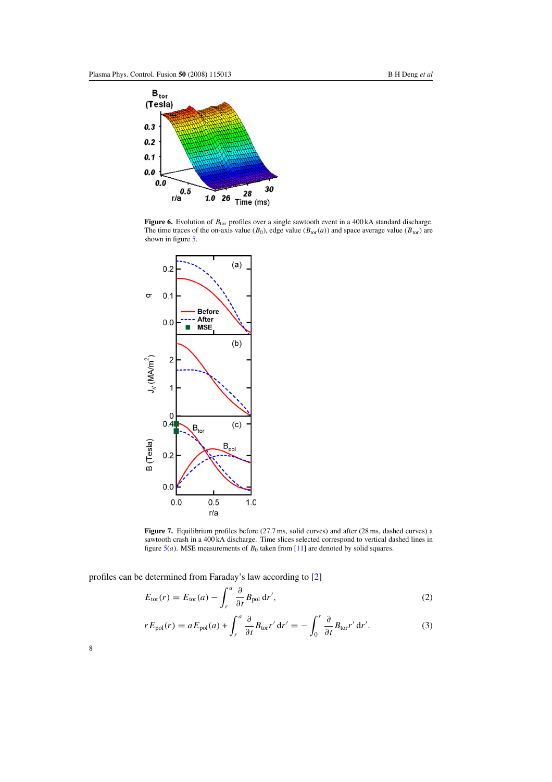<span id="page-8-0"></span>

Figure 6. Evolution of  $B_{\text{tor}}$  profiles over a single sawtooth event in a 400 kA standard discharge. The time traces of the on-axis value ( $B_0$ ), edge value ( $B_{\text{tor}}(a)$ ) and space average value ( $\overline{B}_{\text{tor}}$ ) are shown in figure [5.](#page-7-1)

<span id="page-8-1"></span>

Figure 7. Equilibrium profiles before (27.7 ms, solid curves) and after (28 ms, dashed curves) a sawtooth crash in a 400 kA discharge. Time slices selected correspond to vertical dashed lines in figure  $5(a)$  $5(a)$ . MSE measurements of  $B_0$  taken from [\[11\]](#page-11-10) are denoted by solid squares.

<span id="page-8-3"></span><span id="page-8-2"></span>profiles can be determined from Faraday's law according to [\[2\]](#page-11-1)

$$
E_{\text{tor}}(r) = E_{\text{tor}}(a) - \int_r^a \frac{\partial}{\partial t} B_{\text{pol}} \, dr', \tag{2}
$$

$$
rE_{\text{pol}}(r) = aE_{\text{pol}}(a) + \int_r^a \frac{\partial}{\partial t} B_{\text{tor}} r' dr' = -\int_0^r \frac{\partial}{\partial t} B_{\text{tor}} r' dr'.
$$
 (3)

8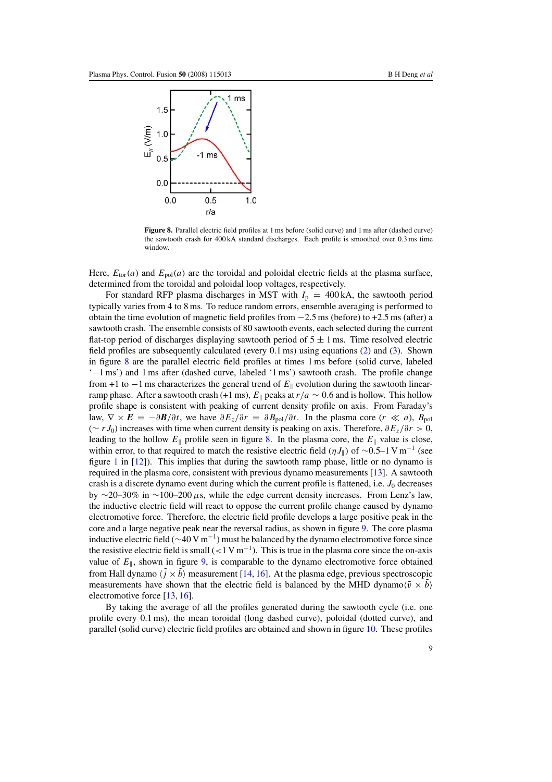<span id="page-9-0"></span>

**Figure 8.** Parallel electric field profiles at 1 ms before (solid curve) and 1 ms after (dashed curve) the sawtooth crash for 400 kA standard discharges. Each profile is smoothed over 0.3 ms time window.

Here,  $E_{\text{tor}}(a)$  and  $E_{\text{pol}}(a)$  are the toroidal and poloidal electric fields at the plasma surface, determined from the toroidal and poloidal loop voltages, respectively.

For standard RFP plasma discharges in MST with  $I_p = 400 \text{ kA}$ , the sawtooth period typically varies from 4 to 8 ms. To reduce random errors, ensemble averaging is performed to obtain the time evolution of magnetic field profiles from −2.5 ms (before) to +2.5 ms (after) a sawtooth crash. The ensemble consists of 80 sawtooth events, each selected during the current flat-top period of discharges displaying sawtooth period of  $5 \pm 1$  ms. Time resolved electric field profiles are subsequently calculated (every 0.1 ms) using equations [\(2\)](#page-8-2) and [\(3\)](#page-8-3). Shown in figure [8](#page-9-0) are the parallel electric field profiles at times 1 ms before (solid curve, labeled '−1 ms') and 1 ms after (dashed curve, labeled '1 ms') sawtooth crash. The profile change from +1 to  $-1$  ms characterizes the general trend of  $E_{\parallel}$  evolution during the sawtooth linearramp phase. After a sawtooth crash (+1 ms),  $E_{\parallel}$  peaks at  $r/a \sim 0.6$  and is hollow. This hollow profile shape is consistent with peaking of current density profile on axis. From Faraday's law,  $\nabla \times \mathbf{E} = -\partial \mathbf{B}/\partial t$ , we have  $\partial E_z/\partial r = \partial B_{pol}/\partial t$ . In the plasma core  $(r \ll a)$ ,  $B_{pol}$ (∼ r J<sub>0</sub>) increases with time when current density is peaking on axis. Therefore,  $\partial E_z/\partial r > 0$ , leading to the hollow  $E_{\parallel}$  profile seen in figure [8.](#page-9-0) In the plasma core, the  $E_{\parallel}$  value is close, within error, to that required to match the resistive electric field ( $\eta J_{\parallel}$ ) of ~0.5–1 V m<sup>-1</sup> (see figure [1](#page-4-1) in [\[12\]](#page-11-12)). This implies that during the sawtooth ramp phase, little or no dynamo is required in the plasma core, consistent with previous dynamo measurements [\[13\]](#page-11-11). A sawtooth crash is a discrete dynamo event during which the current profile is flattened, i.e.  $J_0$  decreases by ∼20–30% in ∼100–200  $\mu$ s, while the edge current density increases. From Lenz's law, the inductive electric field will react to oppose the current profile change caused by dynamo electromotive force. Therefore, the electric field profile develops a large positive peak in the core and a large negative peak near the reversal radius, as shown in figure [9.](#page-10-1) The core plasma inductive electric field ( $\sim$ 40 V m<sup>-1</sup>) must be balanced by the dynamo electromotive force since the resistive electric field is small  $(<1$  V m<sup>-1</sup>). This is true in the plasma core since the on-axis value of  $E_{\parallel}$ , shown in figure [9,](#page-10-1) is comparable to the dynamo electromotive force obtained from Hall dynamo  $\langle j \times b \rangle$  measurement [\[14,](#page-11-13) [16\]](#page-11-14). At the plasma edge, previous spectroscopic measurements have shown that the electric field is balanced by the MHD dynamo $\langle \tilde{v} \times \tilde{b} \rangle$ electromotive force [\[13,](#page-11-11) [16\]](#page-11-14).

By taking the average of all the profiles generated during the sawtooth cycle (i.e. one profile every 0.1 ms), the mean toroidal (long dashed curve), poloidal (dotted curve), and parallel (solid curve) electric field profiles are obtained and shown in figure [10.](#page-10-2) These profiles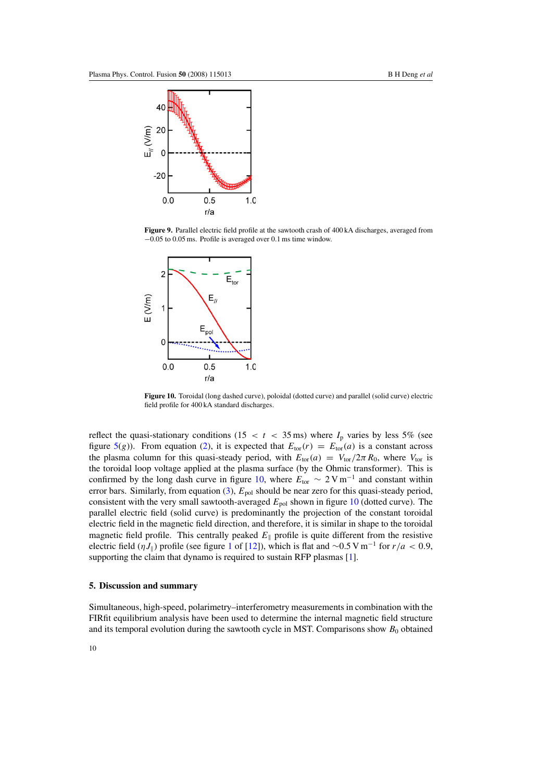<span id="page-10-1"></span>

**Figure 9.** Parallel electric field profile at the sawtooth crash of 400 kA discharges, averaged from −0.05 to 0.05 ms. Profile is averaged over 0.1 ms time window.

<span id="page-10-2"></span>

**Figure 10.** Toroidal (long dashed curve), poloidal (dotted curve) and parallel (solid curve) electric field profile for 400 kA standard discharges.

reflect the quasi-stationary conditions (15 < t < 35 ms) where  $I_p$  varies by less 5% (see figure [5\(](#page-7-1)g)). From equation [\(2\)](#page-8-2), it is expected that  $E_{\text{tor}}(r) = E_{\text{tor}}(a)$  is a constant across the plasma column for this quasi-steady period, with  $E_{\text{tor}}(a) = V_{\text{tor}}/2\pi R_0$ , where  $V_{\text{tor}}$  is the toroidal loop voltage applied at the plasma surface (by the Ohmic transformer). This is confirmed by the long dash curve in figure [10,](#page-10-2) where  $E_{\text{tor}} \sim 2 \text{ V m}^{-1}$  and constant within error bars. Similarly, from equation  $(3)$ ,  $E_{pol}$  should be near zero for this quasi-steady period, consistent with the very small sawtooth-averaged  $E_{pol}$  shown in figure [10](#page-10-2) (dotted curve). The parallel electric field (solid curve) is predominantly the projection of the constant toroidal electric field in the magnetic field direction, and therefore, it is similar in shape to the toroidal magnetic field profile. This centrally peaked  $E_{\parallel}$  profile is quite different from the resistive electric field ( $\eta J_{\parallel}$ ) profile (see figure [1](#page-4-1) of [\[12\]](#page-11-12)), which is flat and ∼0.5 V m<sup>-1</sup> for  $r/a < 0.9$ , supporting the claim that dynamo is required to sustain RFP plasmas [\[1\]](#page-11-0).

### <span id="page-10-0"></span>**5. Discussion and summary**

Simultaneous, high-speed, polarimetry–interferometry measurements in combination with the FIRfit equilibrium analysis have been used to determine the internal magnetic field structure and its temporal evolution during the sawtooth cycle in MST. Comparisons show  $B_0$  obtained